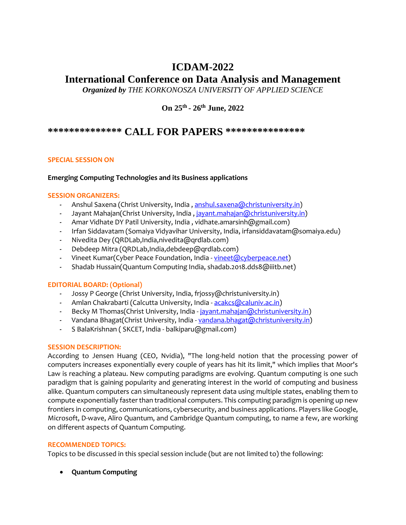# **ICDAM-2022**

# **International Conference on Data Analysis and Management**

*Organized by THE KORKONOSZA UNIVERSITY OF APPLIED SCIENCE*

**On 25th - 26th June, 2022**

# **\*\*\*\*\*\*\*\*\*\*\*\*\*\* CALL FOR PAPERS \*\*\*\*\*\*\*\*\*\*\*\*\*\*\***

## **SPECIAL SESSION ON**

### **Emerging Computing Technologies and its Business applications**

### **SESSION ORGANIZERS:**

- **-** Anshul Saxena (Christ University, India , [anshul.saxena@christuniversity.in\)](mailto:anshul.saxena@christuniversity.in)
- **-** Jayant Mahajan(Christ University, India , [jayant.mahajan@christuniversity.in\)](mailto:jayant.mahajan@christuniversity.in)
- **-** Amar Vidhate DY Patil University, India , vidhate.amarsinh@gmail.com)
- **-** Irfan Siddavatam (Somaiya Vidyavihar University, India, irfansiddavatam@somaiya.edu)
- **-** Nivedita Dey (QRDLab,India,nivedita@qrdlab.com)
- **-** Debdeep Mitra (QRDLab,India,debdeep@qrdlab.com)
- **-** Vineet Kumar(Cyber Peace Foundation, India [vineet@cyberpeace.net\)](mailto:vineet@cyberpeace.net)
- **-** Shadab Hussain(Quantum Computing India, shadab.2018.dds8@iiitb.net)

### **EDITORIAL BOARD: (Optional)**

- **-** Jossy P George (Christ University, India, frjossy@christuniversity.in)
- **-** Amlan Chakrabarti (Calcutta University, India [acakcs@caluniv.ac.in\)](mailto:acakcs@caluniv.ac.in)
- **-** Becky M Thomas(Christ University, India [jayant.mahajan@christuniversity.in\)](mailto:jayant.mahajan@christuniversity.in)
- **-** Vandana Bhagat(Christ University, India [vandana.bhagat@christuniversity.in\)](mailto:vandana.bhagat@christuniversity.in)
- **-** S BalaKrishnan ( SKCET, India balkiparu@gmail.com)

### **SESSION DESCRIPTION:**

According to Jensen Huang (CEO, Nvidia), "The long-held notion that the processing power of computers increases exponentially every couple of years has hit its limit," which implies that Moor's Law is reaching a plateau. New computing paradigms are evolving. Quantum computing is one such paradigm that is gaining popularity and generating interest in the world of computing and business alike. Quantum computers can simultaneously represent data using multiple states, enabling them to compute exponentially faster than traditional computers. This computing paradigm is opening up new frontiers in computing, communications, cybersecurity, and business applications. Players like Google, Microsoft, D-wave, Aliro Quantum, and Cambridge Quantum computing, to name a few, are working on different aspects of Quantum Computing.

### **RECOMMENDED TOPICS:**

Topics to be discussed in this special session include (but are not limited to) the following:

• **Quantum Computing**